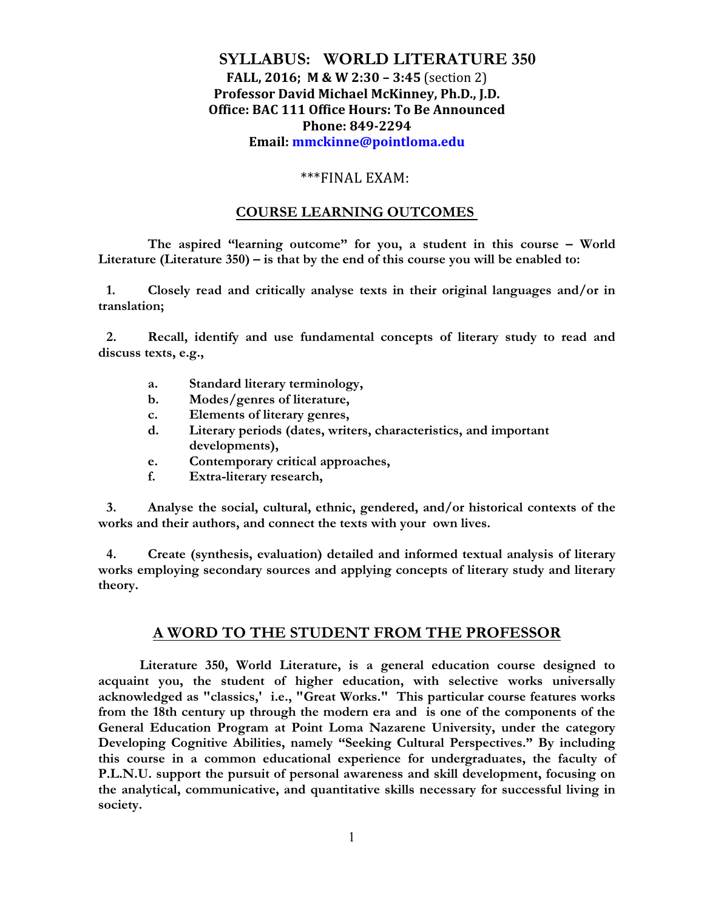# **SYLLABUS: WORLD LITERATURE 350 FALL, 2016; M & W 2:30 – 3:45** (section 2) **Professor David Michael McKinney, Ph.D., J.D. Office: BAC 111 Office Hours: To Be Announced Phone: 849-2294 Email: mmckinne@pointloma.edu**

## \*\*\*FINAL EXAM:

## **COURSE LEARNING OUTCOMES**

**The aspired "learning outcome" for you, a student in this course – World Literature (Literature 350) – is that by the end of this course you will be enabled to:**

**1. Closely read and critically analyse texts in their original languages and/or in translation;** 

**2. Recall, identify and use fundamental concepts of literary study to read and discuss texts, e.g.,** 

- **a. Standard literary terminology,**
- **b. Modes/genres of literature,**
- **c. Elements of literary genres,**
- **d. Literary periods (dates, writers, characteristics, and important developments),**
- **e. Contemporary critical approaches,**
- **f. Extra-literary research,**

**3. Analyse the social, cultural, ethnic, gendered, and/or historical contexts of the works and their authors, and connect the texts with your own lives.** 

**4. Create (synthesis, evaluation) detailed and informed textual analysis of literary works employing secondary sources and applying concepts of literary study and literary theory.** 

# **A WORD TO THE STUDENT FROM THE PROFESSOR**

**Literature 350, World Literature, is a general education course designed to acquaint you, the student of higher education, with selective works universally acknowledged as "classics,' i.e., "Great Works." This particular course features works from the 18th century up through the modern era and is one of the components of the General Education Program at Point Loma Nazarene University, under the category Developing Cognitive Abilities, namely "Seeking Cultural Perspectives." By including this course in a common educational experience for undergraduates, the faculty of P.L.N.U. support the pursuit of personal awareness and skill development, focusing on the analytical, communicative, and quantitative skills necessary for successful living in society.**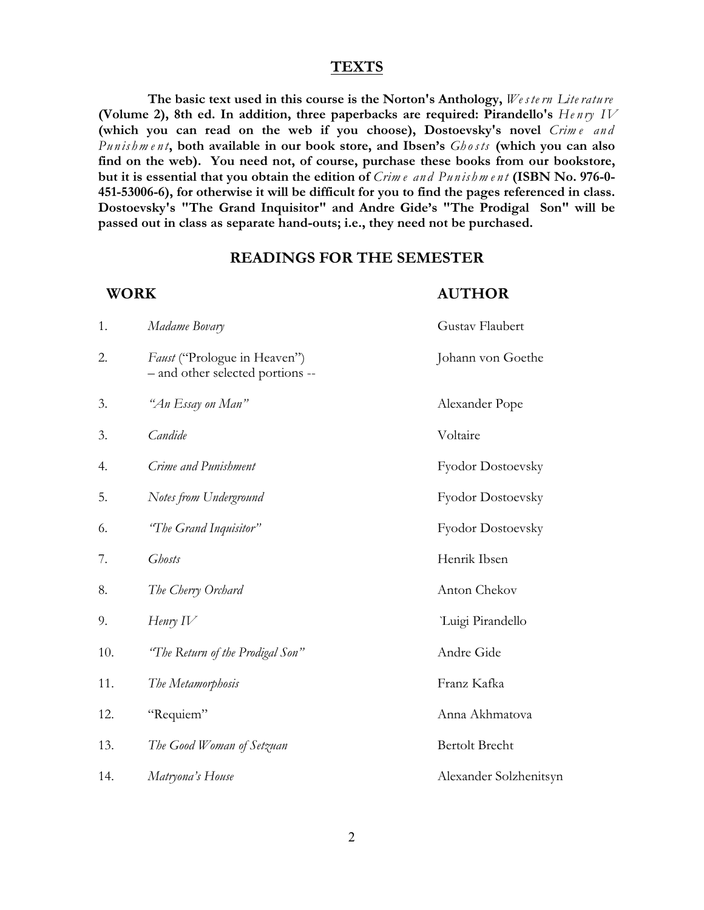#### **TEXTS**

**The basic text used in this course is the Norton's Anthology,** *We ste rn Lite ratu re* **(Volume 2), 8th ed. In addition, three paperbacks are required: Pirandello's** *He n ry IV* (which you can read on the web if you choose), Dostoevsky's novel Crime and *Pu n is hm e n t***, both available in our book store, and Ibsen's** *Gh osts* **(which you can also find on the web). You need not, of course, purchase these books from our bookstore, but it is essential that you obtain the edition of** *Crim e an d Pu n is hm e n t* **(ISBN No. 976-0- 451-53006-6), for otherwise it will be difficult for you to find the pages referenced in class. Dostoevsky's "The Grand Inquisitor" and Andre Gide's "The Prodigal Son" will be passed out in class as separate hand-outs; i.e., they need not be purchased.**

## **READINGS FOR THE SEMESTER**

## **WORK AUTHOR**

| 1.  | Madame Bovary                                                    | Gustav Flaubert        |  |
|-----|------------------------------------------------------------------|------------------------|--|
| 2.  | Faust ("Prologue in Heaven")<br>- and other selected portions -- | Johann von Goethe      |  |
| 3.  | "An Essay on Man"                                                | Alexander Pope         |  |
| 3.  | Candide                                                          | Voltaire               |  |
| 4.  | Crime and Punishment                                             | Fyodor Dostoevsky      |  |
| 5.  | Notes from Underground                                           | Fyodor Dostoevsky      |  |
| 6.  | "The Grand Inquisitor"                                           | Fyodor Dostoevsky      |  |
| 7.  | <b>Ghosts</b>                                                    | Henrik Ibsen           |  |
| 8.  | The Cherry Orchard                                               | Anton Chekov           |  |
| 9.  | Henry $IV$                                                       | Luigi Pirandello       |  |
| 10. | "The Return of the Prodigal Son"                                 | Andre Gide             |  |
| 11. | The Metamorphosis                                                | Franz Kafka            |  |
| 12. | "Requiem"                                                        | Anna Akhmatova         |  |
| 13. | The Good Woman of Setzuan                                        | <b>Bertolt Brecht</b>  |  |
| 14. | Matryona's House                                                 | Alexander Solzhenitsyn |  |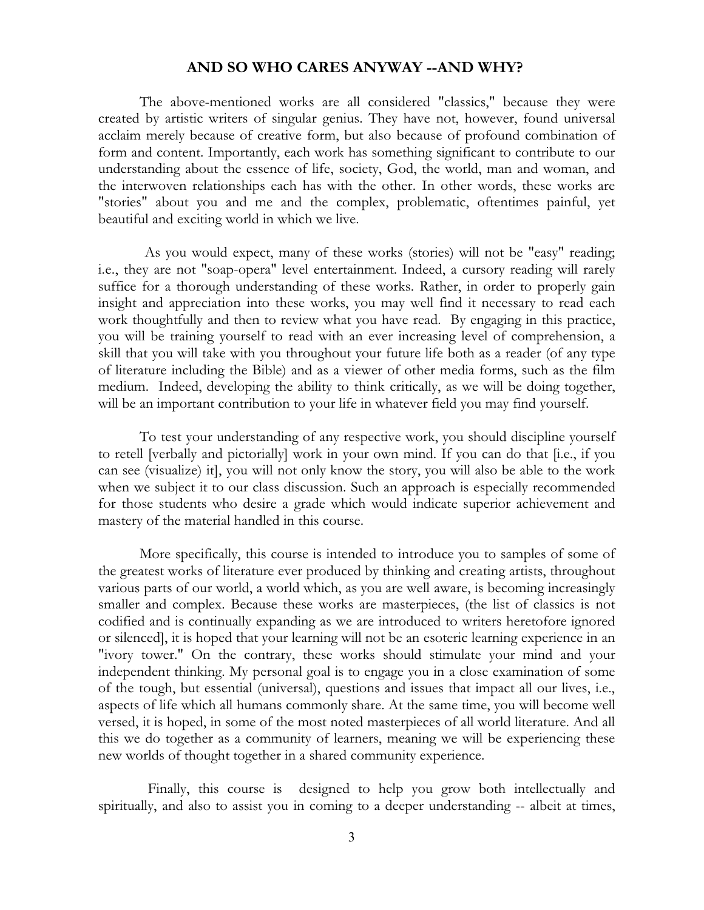# **AND SO WHO CARES ANYWAY --AND WHY?**

The above-mentioned works are all considered "classics," because they were created by artistic writers of singular genius. They have not, however, found universal acclaim merely because of creative form, but also because of profound combination of form and content. Importantly, each work has something significant to contribute to our understanding about the essence of life, society, God, the world, man and woman, and the interwoven relationships each has with the other. In other words, these works are "stories" about you and me and the complex, problematic, oftentimes painful, yet beautiful and exciting world in which we live.

As you would expect, many of these works (stories) will not be "easy" reading; i.e., they are not "soap-opera" level entertainment. Indeed, a cursory reading will rarely suffice for a thorough understanding of these works. Rather, in order to properly gain insight and appreciation into these works, you may well find it necessary to read each work thoughtfully and then to review what you have read. By engaging in this practice, you will be training yourself to read with an ever increasing level of comprehension, a skill that you will take with you throughout your future life both as a reader (of any type of literature including the Bible) and as a viewer of other media forms, such as the film medium. Indeed, developing the ability to think critically, as we will be doing together, will be an important contribution to your life in whatever field you may find yourself.

To test your understanding of any respective work, you should discipline yourself to retell [verbally and pictorially] work in your own mind. If you can do that [i.e., if you can see (visualize) it], you will not only know the story, you will also be able to the work when we subject it to our class discussion. Such an approach is especially recommended for those students who desire a grade which would indicate superior achievement and mastery of the material handled in this course.

More specifically, this course is intended to introduce you to samples of some of the greatest works of literature ever produced by thinking and creating artists, throughout various parts of our world, a world which, as you are well aware, is becoming increasingly smaller and complex. Because these works are masterpieces, (the list of classics is not codified and is continually expanding as we are introduced to writers heretofore ignored or silenced], it is hoped that your learning will not be an esoteric learning experience in an "ivory tower." On the contrary, these works should stimulate your mind and your independent thinking. My personal goal is to engage you in a close examination of some of the tough, but essential (universal), questions and issues that impact all our lives, i.e., aspects of life which all humans commonly share. At the same time, you will become well versed, it is hoped, in some of the most noted masterpieces of all world literature. And all this we do together as a community of learners, meaning we will be experiencing these new worlds of thought together in a shared community experience.

Finally, this course is designed to help you grow both intellectually and spiritually, and also to assist you in coming to a deeper understanding -- albeit at times,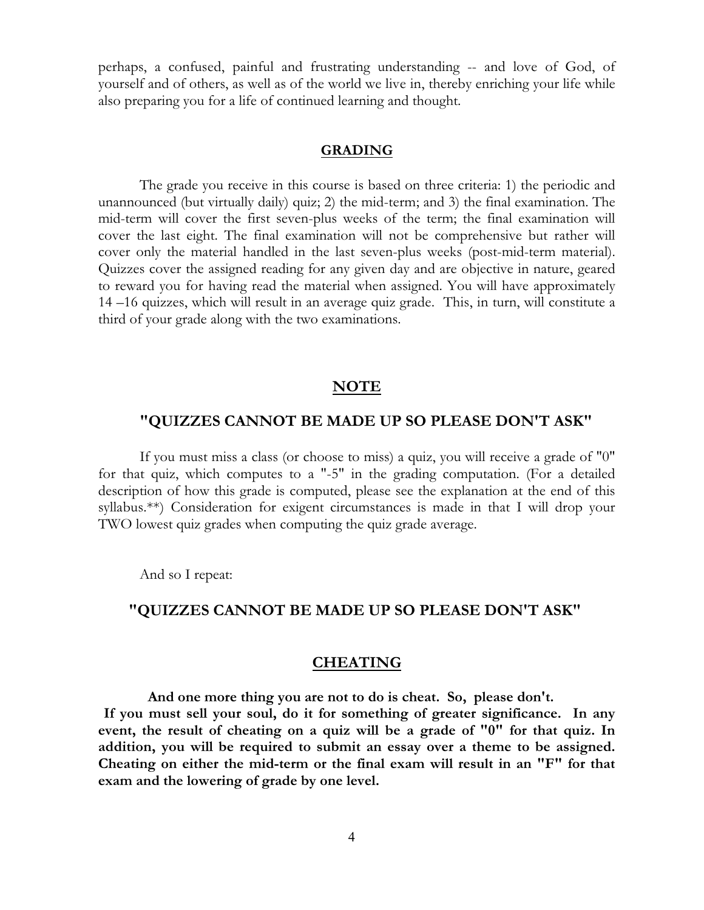perhaps, a confused, painful and frustrating understanding -- and love of God, of yourself and of others, as well as of the world we live in, thereby enriching your life while also preparing you for a life of continued learning and thought.

#### **GRADING**

The grade you receive in this course is based on three criteria: 1) the periodic and unannounced (but virtually daily) quiz; 2) the mid-term; and 3) the final examination. The mid-term will cover the first seven-plus weeks of the term; the final examination will cover the last eight. The final examination will not be comprehensive but rather will cover only the material handled in the last seven-plus weeks (post-mid-term material). Quizzes cover the assigned reading for any given day and are objective in nature, geared to reward you for having read the material when assigned. You will have approximately 14 –16 quizzes, which will result in an average quiz grade. This, in turn, will constitute a third of your grade along with the two examinations.

## **NOTE**

# **"QUIZZES CANNOT BE MADE UP SO PLEASE DON'T ASK"**

If you must miss a class (or choose to miss) a quiz, you will receive a grade of "0" for that quiz, which computes to a "-5" in the grading computation. (For a detailed description of how this grade is computed, please see the explanation at the end of this syllabus.\*\*) Consideration for exigent circumstances is made in that I will drop your TWO lowest quiz grades when computing the quiz grade average.

And so I repeat:

## **"QUIZZES CANNOT BE MADE UP SO PLEASE DON'T ASK"**

# **CHEATING**

**And one more thing you are not to do is cheat. So, please don't. If you must sell your soul, do it for something of greater significance. In any event, the result of cheating on a quiz will be a grade of "0" for that quiz. In addition, you will be required to submit an essay over a theme to be assigned. Cheating on either the mid-term or the final exam will result in an "F" for that exam and the lowering of grade by one level.**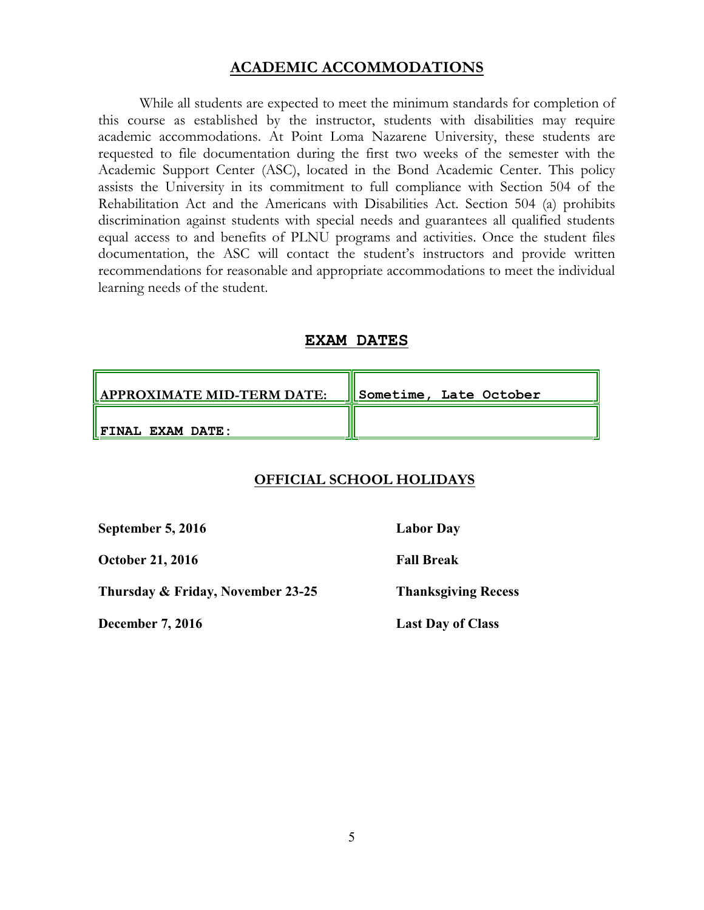# **ACADEMIC ACCOMMODATIONS**

While all students are expected to meet the minimum standards for completion of this course as established by the instructor, students with disabilities may require academic accommodations. At Point Loma Nazarene University, these students are requested to file documentation during the first two weeks of the semester with the Academic Support Center (ASC), located in the Bond Academic Center. This policy assists the University in its commitment to full compliance with Section 504 of the Rehabilitation Act and the Americans with Disabilities Act. Section 504 (a) prohibits discrimination against students with special needs and guarantees all qualified students equal access to and benefits of PLNU programs and activities. Once the student files documentation, the ASC will contact the student's instructors and provide written recommendations for reasonable and appropriate accommodations to meet the individual learning needs of the student.

# **EXAM DATES**

| $\parallel$ APPROXIMATE MID-TERM DATE: | Sometime, Late October |
|----------------------------------------|------------------------|
| $\parallel$ FINAL EXAM DATE:           |                        |

# **OFFICIAL SCHOOL HOLIDAYS**

**September 5, 2016 Labor Day**

**October 21, 2016 Fall Break**

**Thursday & Friday, November 23-25 Thanksgiving Recess**

**December 7, 2016** Last Day of Class